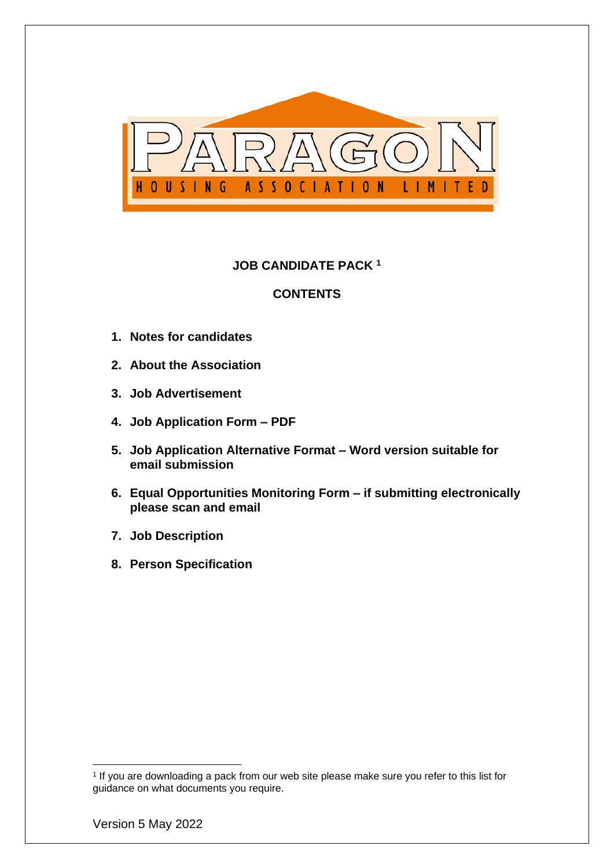

# **JOB CANDIDATE PACK <sup>1</sup>**

### **CONTENTS**

- **1. Notes for candidates**
- **2. About the Association**
- **3. Job Advertisement**
- **4. Job Application Form – PDF**
- **5. Job Application Alternative Format – Word version suitable for email submission**
- **6. Equal Opportunities Monitoring Form – if submitting electronically please scan and email**
- **7. Job Description**
- **8. Person Specification**

<sup>1</sup> If you are downloading a pack from our web site please make sure you refer to this list for guidance on what documents you require.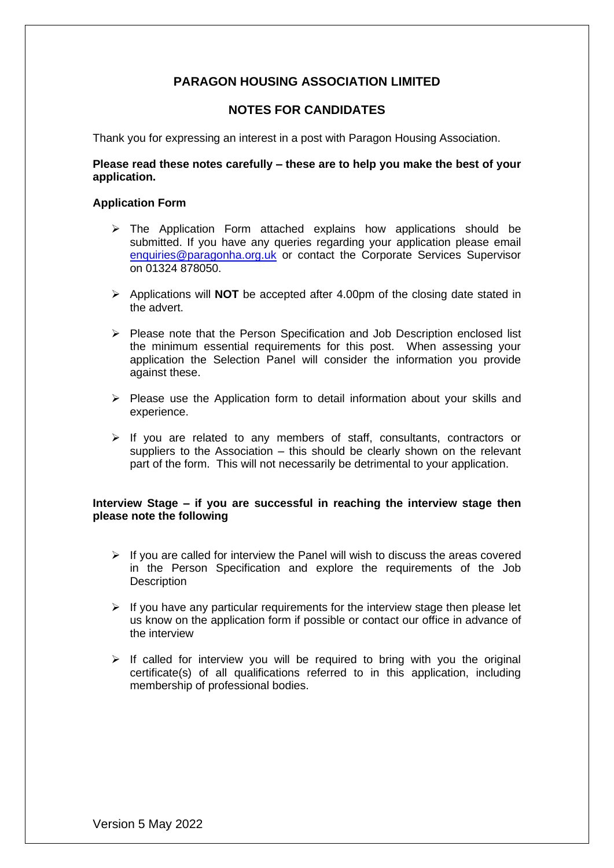# **PARAGON HOUSING ASSOCIATION LIMITED**

### **NOTES FOR CANDIDATES**

Thank you for expressing an interest in a post with Paragon Housing Association.

#### **Please read these notes carefully – these are to help you make the best of your application.**

#### **Application Form**

- $\triangleright$  The Application Form attached explains how applications should be submitted. If you have any queries regarding your application please email [enquiries@paragonha.org.uk](mailto:enquiries@paragonha.org.uk) or contact the Corporate Services Supervisor on 01324 878050.
- ➢ Applications will **NOT** be accepted after 4.00pm of the closing date stated in the advert.
- ➢ Please note that the Person Specification and Job Description enclosed list the minimum essential requirements for this post. When assessing your application the Selection Panel will consider the information you provide against these.
- $\triangleright$  Please use the Application form to detail information about your skills and experience.
- ➢ If you are related to any members of staff, consultants, contractors or suppliers to the Association – this should be clearly shown on the relevant part of the form. This will not necessarily be detrimental to your application.

#### **Interview Stage – if you are successful in reaching the interview stage then please note the following**

- $\triangleright$  If you are called for interview the Panel will wish to discuss the areas covered in the Person Specification and explore the requirements of the Job **Description**
- $\triangleright$  If you have any particular requirements for the interview stage then please let us know on the application form if possible or contact our office in advance of the interview
- $\triangleright$  If called for interview you will be required to bring with you the original certificate(s) of all qualifications referred to in this application, including membership of professional bodies.